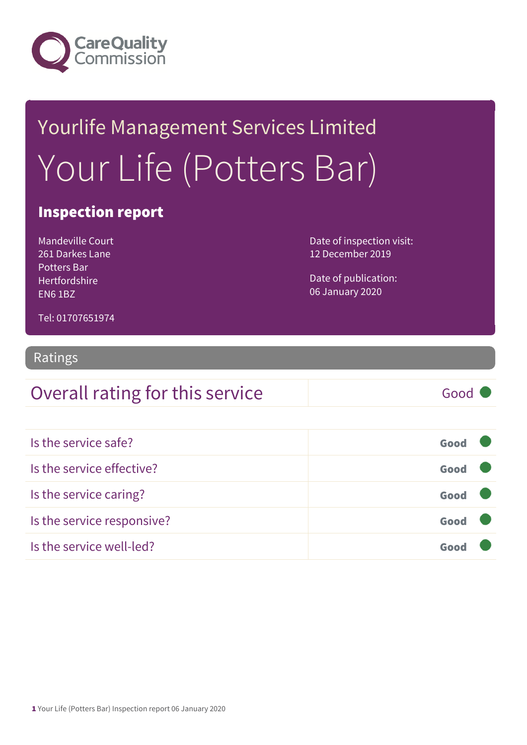

# Yourlife Management Services Limited Your Life (Potters Bar)

### Inspection report

Mandeville Court 261 Darkes Lane Potters Bar Hertfordshire EN6 1BZ

Date of inspection visit: 12 December 2019

Date of publication: 06 January 2020

Tel: 01707651974

#### Ratings

### Overall rating for this service Good

| Is the service safe?       | Good |  |
|----------------------------|------|--|
| Is the service effective?  | Good |  |
| Is the service caring?     | Good |  |
| Is the service responsive? | Good |  |
| Is the service well-led?   |      |  |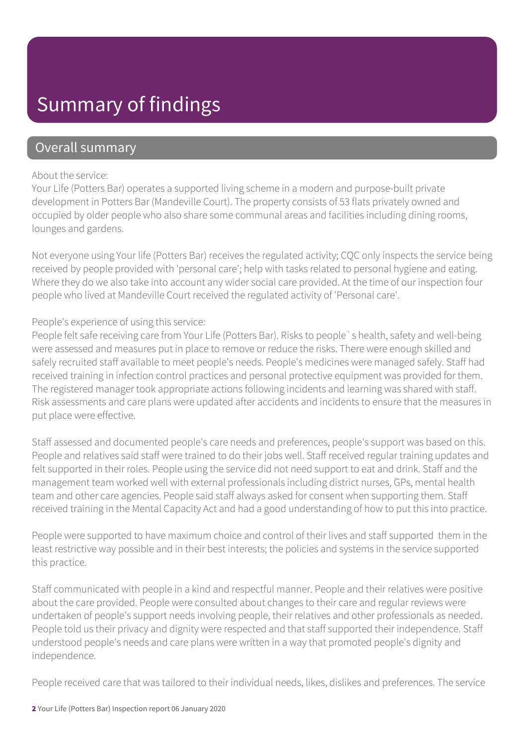### Summary of findings

### Overall summary

#### About the service:

Your Life (Potters Bar) operates a supported living scheme in a modern and purpose-built private development in Potters Bar (Mandeville Court). The property consists of 53 flats privately owned and occupied by older people who also share some communal areas and facilities including dining rooms, lounges and gardens.

Not everyone using Your life (Potters Bar) receives the regulated activity; CQC only inspects the service being received by people provided with 'personal care'; help with tasks related to personal hygiene and eating. Where they do we also take into account any wider social care provided. At the time of our inspection four people who lived at Mandeville Court received the regulated activity of 'Personal care'.

#### People's experience of using this service:

People felt safe receiving care from Your Life (Potters Bar). Risks to people`s health, safety and well-being were assessed and measures put in place to remove or reduce the risks. There were enough skilled and safely recruited staff available to meet people's needs. People's medicines were managed safely. Staff had received training in infection control practices and personal protective equipment was provided for them. The registered manager took appropriate actions following incidents and learning was shared with staff. Risk assessments and care plans were updated after accidents and incidents to ensure that the measures in put place were effective.

Staff assessed and documented people's care needs and preferences, people's support was based on this. People and relatives said staff were trained to do their jobs well. Staff received regular training updates and felt supported in their roles. People using the service did not need support to eat and drink. Staff and the management team worked well with external professionals including district nurses, GPs, mental health team and other care agencies. People said staff always asked for consent when supporting them. Staff received training in the Mental Capacity Act and had a good understanding of how to put this into practice.

People were supported to have maximum choice and control of their lives and staff supported them in the least restrictive way possible and in their best interests; the policies and systems in the service supported this practice.

Staff communicated with people in a kind and respectful manner. People and their relatives were positive about the care provided. People were consulted about changes to their care and regular reviews were undertaken of people's support needs involving people, their relatives and other professionals as needed. People told us their privacy and dignity were respected and that staff supported their independence. Staff understood people's needs and care plans were written in a way that promoted people's dignity and independence.

People received care that was tailored to their individual needs, likes, dislikes and preferences. The service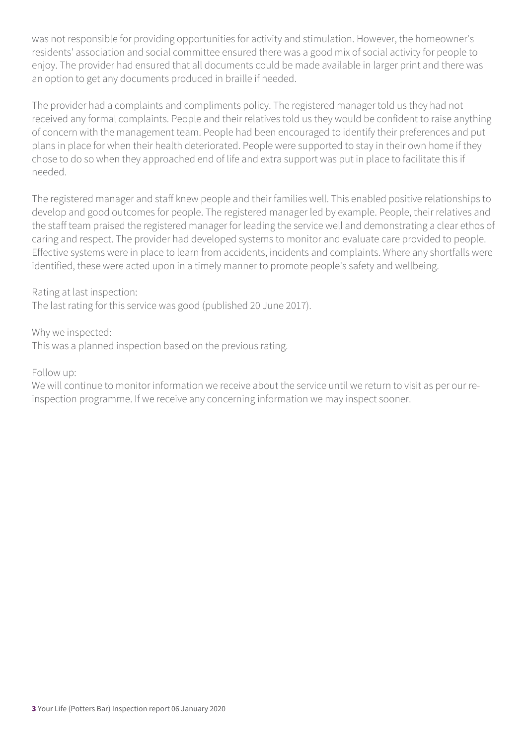was not responsible for providing opportunities for activity and stimulation. However, the homeowner's residents' association and social committee ensured there was a good mix of social activity for people to enjoy. The provider had ensured that all documents could be made available in larger print and there was an option to get any documents produced in braille if needed.

The provider had a complaints and compliments policy. The registered manager told us they had not received any formal complaints. People and their relatives told us they would be confident to raise anything of concern with the management team. People had been encouraged to identify their preferences and put plans in place for when their health deteriorated. People were supported to stay in their own home if they chose to do so when they approached end of life and extra support was put in place to facilitate this if needed.

The registered manager and staff knew people and their families well. This enabled positive relationships to develop and good outcomes for people. The registered manager led by example. People, their relatives and the staff team praised the registered manager for leading the service well and demonstrating a clear ethos of caring and respect. The provider had developed systems to monitor and evaluate care provided to people. Effective systems were in place to learn from accidents, incidents and complaints. Where any shortfalls were identified, these were acted upon in a timely manner to promote people's safety and wellbeing.

Rating at last inspection:

The last rating for this service was good (published 20 June 2017).

Why we inspected:

This was a planned inspection based on the previous rating.

Follow up:

We will continue to monitor information we receive about the service until we return to visit as per our reinspection programme. If we receive any concerning information we may inspect sooner.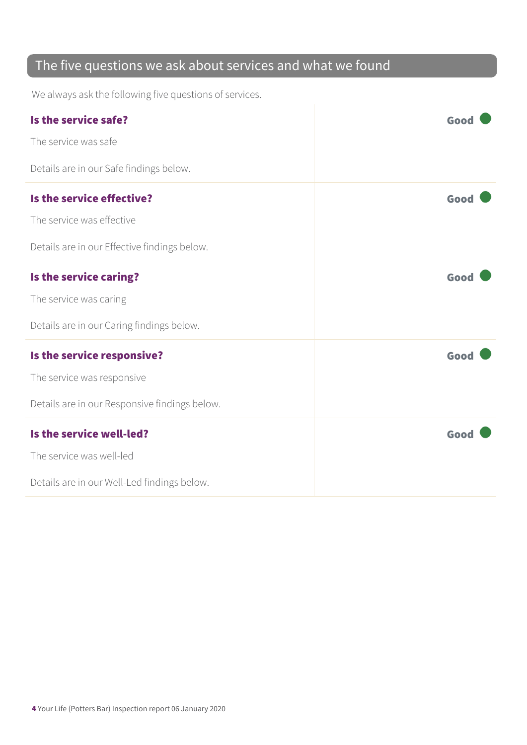### The five questions we ask about services and what we found

We always ask the following five questions of services.

| Is the service safe?                          | Good |
|-----------------------------------------------|------|
| The service was safe                          |      |
| Details are in our Safe findings below.       |      |
| Is the service effective?                     | Good |
| The service was effective                     |      |
| Details are in our Effective findings below.  |      |
| Is the service caring?                        | Good |
| The service was caring                        |      |
| Details are in our Caring findings below.     |      |
| Is the service responsive?                    | Good |
| The service was responsive                    |      |
| Details are in our Responsive findings below. |      |
| Is the service well-led?                      | Good |
| The service was well-led                      |      |
| Details are in our Well-Led findings below.   |      |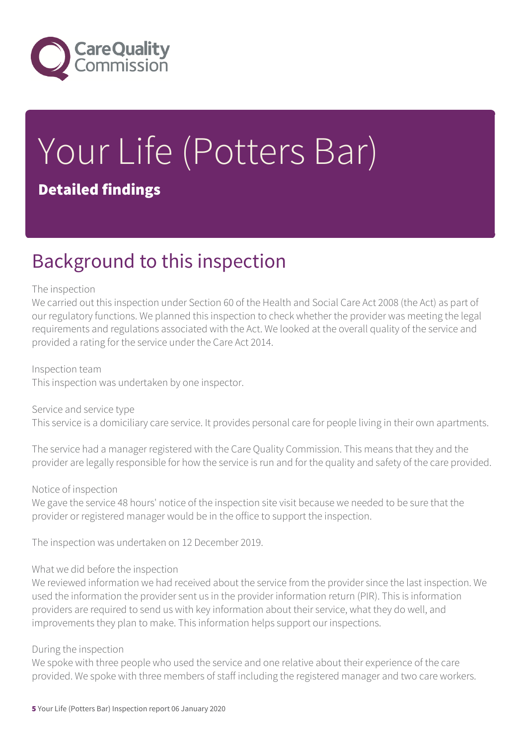

## Your Life (Potters Bar) Detailed findings

### Background to this inspection

#### The inspection

We carried out this inspection under Section 60 of the Health and Social Care Act 2008 (the Act) as part of our regulatory functions. We planned this inspection to check whether the provider was meeting the legal requirements and regulations associated with the Act. We looked at the overall quality of the service and provided a rating for the service under the Care Act 2014.

#### Inspection team

This inspection was undertaken by one inspector.

Service and service type This service is a domiciliary care service. It provides personal care for people living in their own apartments.

The service had a manager registered with the Care Quality Commission. This means that they and the provider are legally responsible for how the service is run and for the quality and safety of the care provided.

#### Notice of inspection

We gave the service 48 hours' notice of the inspection site visit because we needed to be sure that the provider or registered manager would be in the office to support the inspection.

The inspection was undertaken on 12 December 2019.

#### What we did before the inspection

We reviewed information we had received about the service from the provider since the last inspection. We used the information the provider sent us in the provider information return (PIR). This is information providers are required to send us with key information about their service, what they do well, and improvements they plan to make. This information helps support our inspections.

#### During the inspection

We spoke with three people who used the service and one relative about their experience of the care provided. We spoke with three members of staff including the registered manager and two care workers.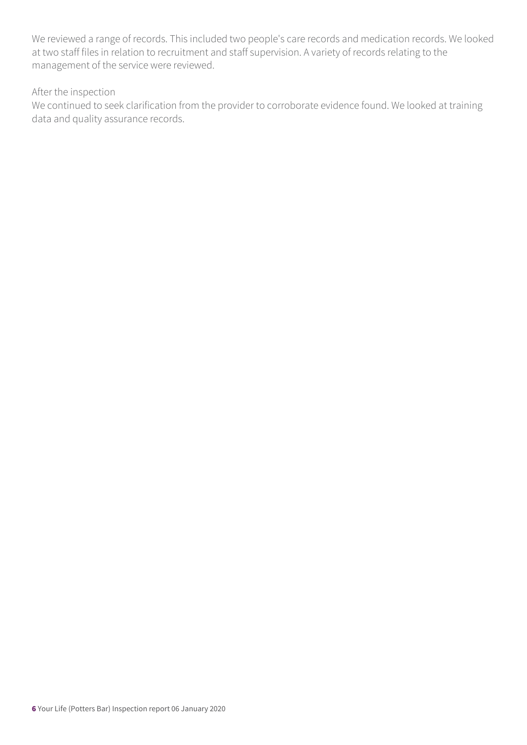We reviewed a range of records. This included two people's care records and medication records. We looked at two staff files in relation to recruitment and staff supervision. A variety of records relating to the management of the service were reviewed.

#### After the inspection

We continued to seek clarification from the provider to corroborate evidence found. We looked at training data and quality assurance records.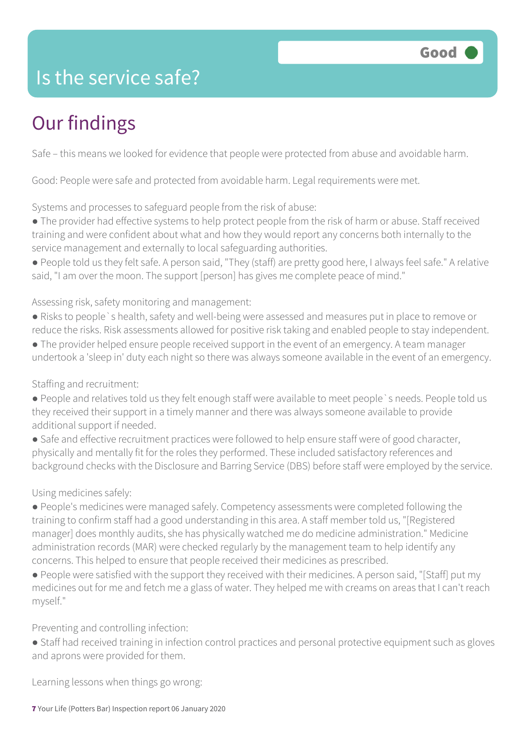### Is the service safe?

### Our findings

Safe – this means we looked for evidence that people were protected from abuse and avoidable harm.

Good: People were safe and protected from avoidable harm. Legal requirements were met.

Systems and processes to safeguard people from the risk of abuse:

● The provider had effective systems to help protect people from the risk of harm or abuse. Staff received training and were confident about what and how they would report any concerns both internally to the service management and externally to local safeguarding authorities.

● People told us they felt safe. A person said, "They (staff) are pretty good here, I always feel safe." A relative said, "I am over the moon. The support [person] has gives me complete peace of mind."

Assessing risk, safety monitoring and management:

● Risks to people`s health, safety and well-being were assessed and measures put in place to remove or reduce the risks. Risk assessments allowed for positive risk taking and enabled people to stay independent.

● The provider helped ensure people received support in the event of an emergency. A team manager undertook a 'sleep in' duty each night so there was always someone available in the event of an emergency.

Staffing and recruitment:

- People and relatives told us they felt enough staff were available to meet people`s needs. People told us they received their support in a timely manner and there was always someone available to provide additional support if needed.
- Safe and effective recruitment practices were followed to help ensure staff were of good character, physically and mentally fit for the roles they performed. These included satisfactory references and background checks with the Disclosure and Barring Service (DBS) before staff were employed by the service.

Using medicines safely:

● People's medicines were managed safely. Competency assessments were completed following the training to confirm staff had a good understanding in this area. A staff member told us, "[Registered manager] does monthly audits, she has physically watched me do medicine administration." Medicine administration records (MAR) were checked regularly by the management team to help identify any concerns. This helped to ensure that people received their medicines as prescribed.

● People were satisfied with the support they received with their medicines. A person said, "[Staff] put my medicines out for me and fetch me a glass of water. They helped me with creams on areas that I can't reach myself."

Preventing and controlling infection:

● Staff had received training in infection control practices and personal protective equipment such as gloves and aprons were provided for them.

Learning lessons when things go wrong: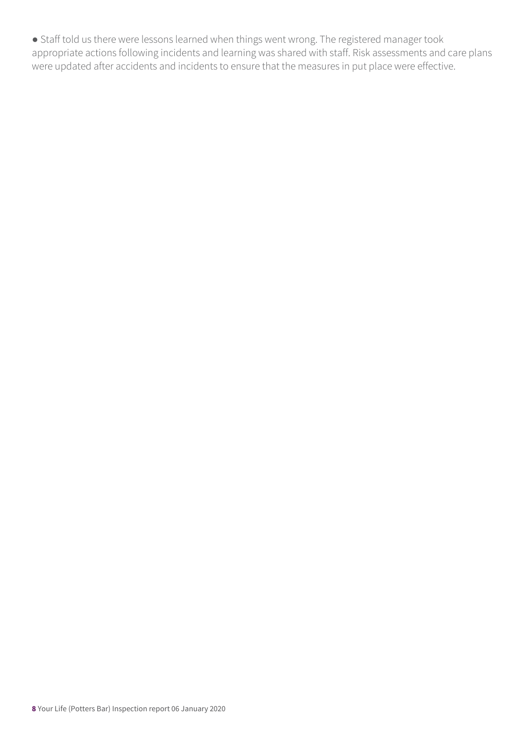● Staff told us there were lessons learned when things went wrong. The registered manager took appropriate actions following incidents and learning was shared with staff. Risk assessments and care plans were updated after accidents and incidents to ensure that the measures in put place were effective.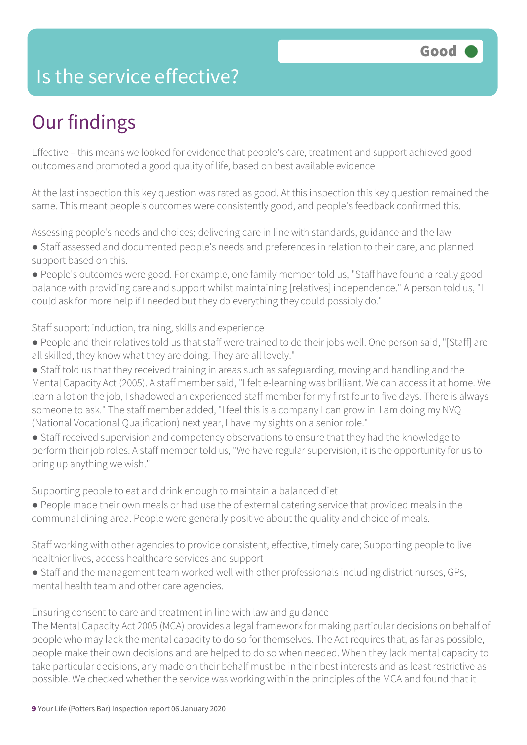### Is the service effective?

### Our findings

Effective – this means we looked for evidence that people's care, treatment and support achieved good outcomes and promoted a good quality of life, based on best available evidence.

At the last inspection this key question was rated as good. At this inspection this key question remained the same. This meant people's outcomes were consistently good, and people's feedback confirmed this.

Assessing people's needs and choices; delivering care in line with standards, guidance and the law

- Staff assessed and documented people's needs and preferences in relation to their care, and planned support based on this.
- People's outcomes were good. For example, one family member told us, "Staff have found a really good balance with providing care and support whilst maintaining [relatives] independence." A person told us, "I could ask for more help if I needed but they do everything they could possibly do."

#### Staff support: induction, training, skills and experience

- People and their relatives told us that staff were trained to do their jobs well. One person said, "[Staff] are all skilled, they know what they are doing. They are all lovely."
- Staff told us that they received training in areas such as safeguarding, moving and handling and the Mental Capacity Act (2005). A staff member said, "I felt e-learning was brilliant. We can access it at home. We learn a lot on the job, I shadowed an experienced staff member for my first four to five days. There is always someone to ask." The staff member added, "I feel this is a company I can grow in. I am doing my NVQ (National Vocational Qualification) next year, I have my sights on a senior role."
- Staff received supervision and competency observations to ensure that they had the knowledge to perform their job roles. A staff member told us, "We have regular supervision, it is the opportunity for us to bring up anything we wish."

Supporting people to eat and drink enough to maintain a balanced diet

● People made their own meals or had use the of external catering service that provided meals in the communal dining area. People were generally positive about the quality and choice of meals.

Staff working with other agencies to provide consistent, effective, timely care; Supporting people to live healthier lives, access healthcare services and support

● Staff and the management team worked well with other professionals including district nurses, GPs, mental health team and other care agencies.

Ensuring consent to care and treatment in line with law and guidance

The Mental Capacity Act 2005 (MCA) provides a legal framework for making particular decisions on behalf of people who may lack the mental capacity to do so for themselves. The Act requires that, as far as possible, people make their own decisions and are helped to do so when needed. When they lack mental capacity to take particular decisions, any made on their behalf must be in their best interests and as least restrictive as possible. We checked whether the service was working within the principles of the MCA and found that it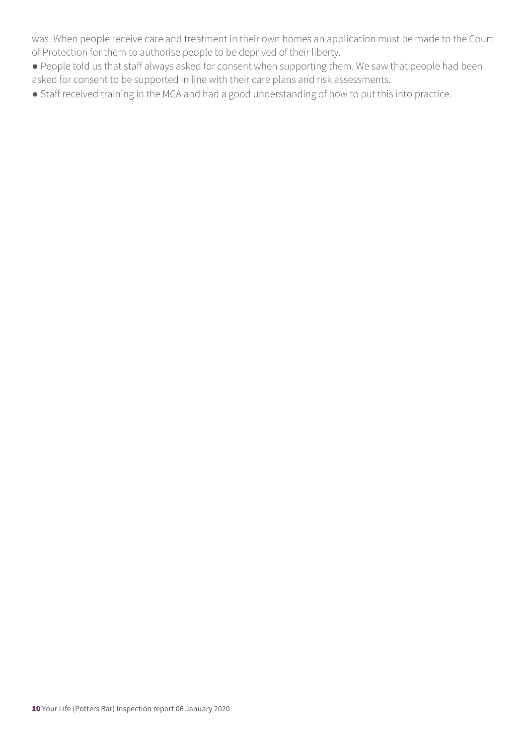was. When people receive care and treatment in their own homes an application must be made to the Court of Protection for them to authorise people to be deprived of their liberty.

- People told us that staff always asked for consent when supporting them. We saw that people had been asked for consent to be supported in line with their care plans and risk assessments.
- Staff received training in the MCA and had a good understanding of how to put this into practice.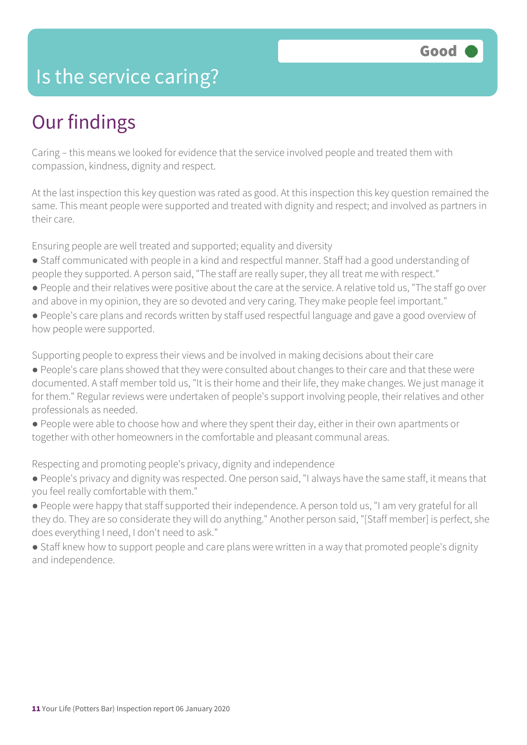### Is the service caring?

### Our findings

Caring – this means we looked for evidence that the service involved people and treated them with compassion, kindness, dignity and respect.

At the last inspection this key question was rated as good. At this inspection this key question remained the same. This meant people were supported and treated with dignity and respect; and involved as partners in their care.

Ensuring people are well treated and supported; equality and diversity

- Staff communicated with people in a kind and respectful manner. Staff had a good understanding of people they supported. A person said, "The staff are really super, they all treat me with respect."
- People and their relatives were positive about the care at the service. A relative told us, "The staff go over and above in my opinion, they are so devoted and very caring. They make people feel important."
- People's care plans and records written by staff used respectful language and gave a good overview of how people were supported.

Supporting people to express their views and be involved in making decisions about their care

- People's care plans showed that they were consulted about changes to their care and that these were documented. A staff member told us, "It is their home and their life, they make changes. We just manage it for them." Regular reviews were undertaken of people's support involving people, their relatives and other professionals as needed.
- People were able to choose how and where they spent their day, either in their own apartments or together with other homeowners in the comfortable and pleasant communal areas.

Respecting and promoting people's privacy, dignity and independence

- People's privacy and dignity was respected. One person said, "I always have the same staff, it means that you feel really comfortable with them."
- People were happy that staff supported their independence. A person told us, "I am very grateful for all they do. They are so considerate they will do anything." Another person said, "[Staff member] is perfect, she does everything I need, I don't need to ask."
- Staff knew how to support people and care plans were written in a way that promoted people's dignity and independence.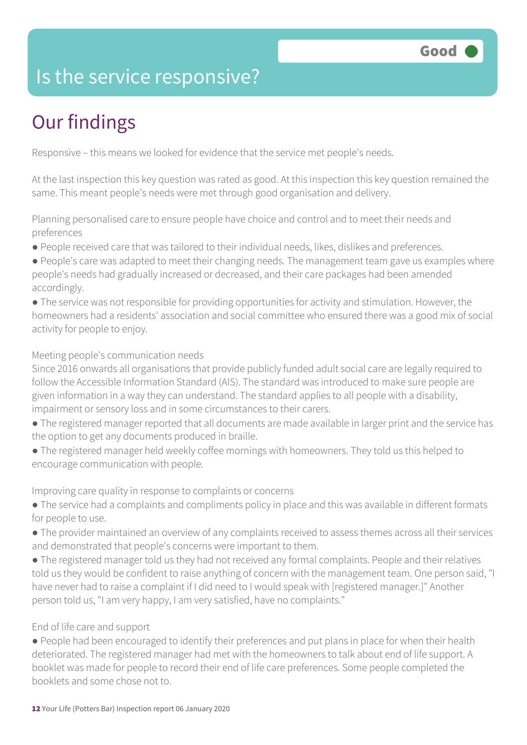### Is the service responsive?

## Our findings

Responsive – this means we looked for evidence that the service met people's needs.

At the last inspection this key question was rated as good. At this inspection this key question remained the same. This meant people's needs were met through good organisation and delivery.

Planning personalised care to ensure people have choice and control and to meet their needs and preferences

- People received care that was tailored to their individual needs, likes, dislikes and preferences.
- People's care was adapted to meet their changing needs. The management team gave us examples where people's needs had gradually increased or decreased, and their care packages had been amended accordingly.
- The service was not responsible for providing opportunities for activity and stimulation. However, the homeowners had a residents' association and social committee who ensured there was a good mix of social activity for people to enjoy.

#### Meeting people's communication needs

Since 2016 onwards all organisations that provide publicly funded adult social care are legally required to follow the Accessible Information Standard (AIS). The standard was introduced to make sure people are given information in a way they can understand. The standard applies to all people with a disability, impairment or sensory loss and in some circumstances to their carers.

- The registered manager reported that all documents are made available in larger print and the service has the option to get any documents produced in braille.
- The registered manager held weekly coffee mornings with homeowners. They told us this helped to encourage communication with people.

Improving care quality in response to complaints or concerns

- The service had a complaints and compliments policy in place and this was available in different formats for people to use.
- The provider maintained an overview of any complaints received to assess themes across all their services and demonstrated that people's concerns were important to them.
- The registered manager told us they had not received any formal complaints. People and their relatives told us they would be confident to raise anything of concern with the management team. One person said, "I have never had to raise a complaint if I did need to I would speak with [registered manager.]" Another person told us, "I am very happy, I am very satisfied, have no complaints."

#### End of life care and support

● People had been encouraged to identify their preferences and put plans in place for when their health deteriorated. The registered manager had met with the homeowners to talk about end of life support. A booklet was made for people to record their end of life care preferences. Some people completed the booklets and some chose not to.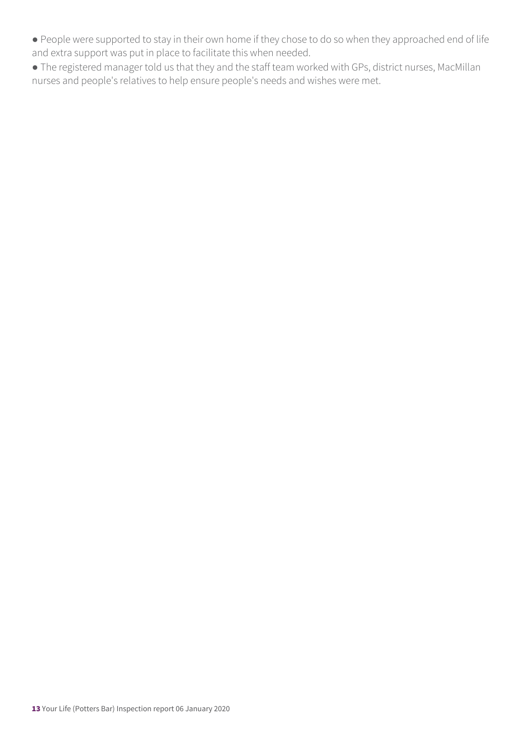- People were supported to stay in their own home if they chose to do so when they approached end of life and extra support was put in place to facilitate this when needed.
- The registered manager told us that they and the staff team worked with GPs, district nurses, MacMillan nurses and people's relatives to help ensure people's needs and wishes were met.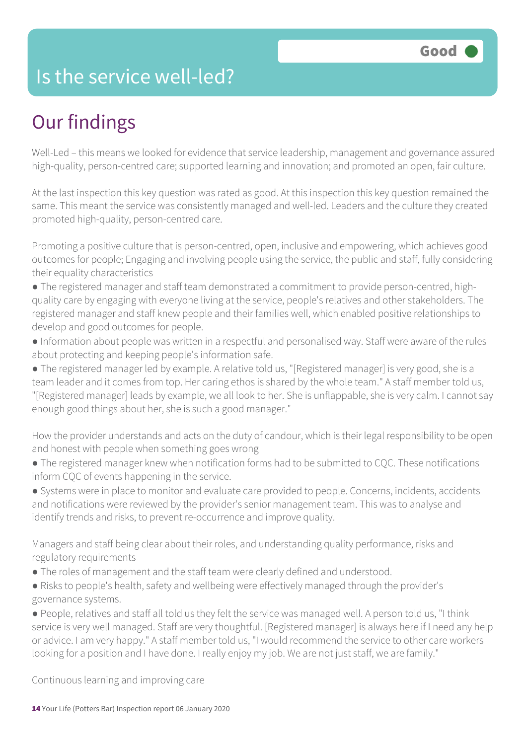### Is the service well-led?

### Our findings

Well-Led – this means we looked for evidence that service leadership, management and governance assured high-quality, person-centred care; supported learning and innovation; and promoted an open, fair culture.

At the last inspection this key question was rated as good. At this inspection this key question remained the same. This meant the service was consistently managed and well-led. Leaders and the culture they created promoted high-quality, person-centred care.

Promoting a positive culture that is person-centred, open, inclusive and empowering, which achieves good outcomes for people; Engaging and involving people using the service, the public and staff, fully considering their equality characteristics

● The registered manager and staff team demonstrated a commitment to provide person-centred, highquality care by engaging with everyone living at the service, people's relatives and other stakeholders. The registered manager and staff knew people and their families well, which enabled positive relationships to develop and good outcomes for people.

● Information about people was written in a respectful and personalised way. Staff were aware of the rules about protecting and keeping people's information safe.

● The registered manager led by example. A relative told us, "[Registered manager] is very good, she is a team leader and it comes from top. Her caring ethos is shared by the whole team." A staff member told us, "[Registered manager] leads by example, we all look to her. She is unflappable, she is very calm. I cannot say enough good things about her, she is such a good manager."

How the provider understands and acts on the duty of candour, which is their legal responsibility to be open and honest with people when something goes wrong

● The registered manager knew when notification forms had to be submitted to CQC. These notifications inform CQC of events happening in the service.

● Systems were in place to monitor and evaluate care provided to people. Concerns, incidents, accidents and notifications were reviewed by the provider's senior management team. This was to analyse and identify trends and risks, to prevent re-occurrence and improve quality.

Managers and staff being clear about their roles, and understanding quality performance, risks and regulatory requirements

- The roles of management and the staff team were clearly defined and understood.
- Risks to people's health, safety and wellbeing were effectively managed through the provider's governance systems.

● People, relatives and staff all told us they felt the service was managed well. A person told us, "I think service is very well managed. Staff are very thoughtful. [Registered manager] is always here if I need any help or advice. I am very happy." A staff member told us, "I would recommend the service to other care workers looking for a position and I have done. I really enjoy my job. We are not just staff, we are family."

Continuous learning and improving care